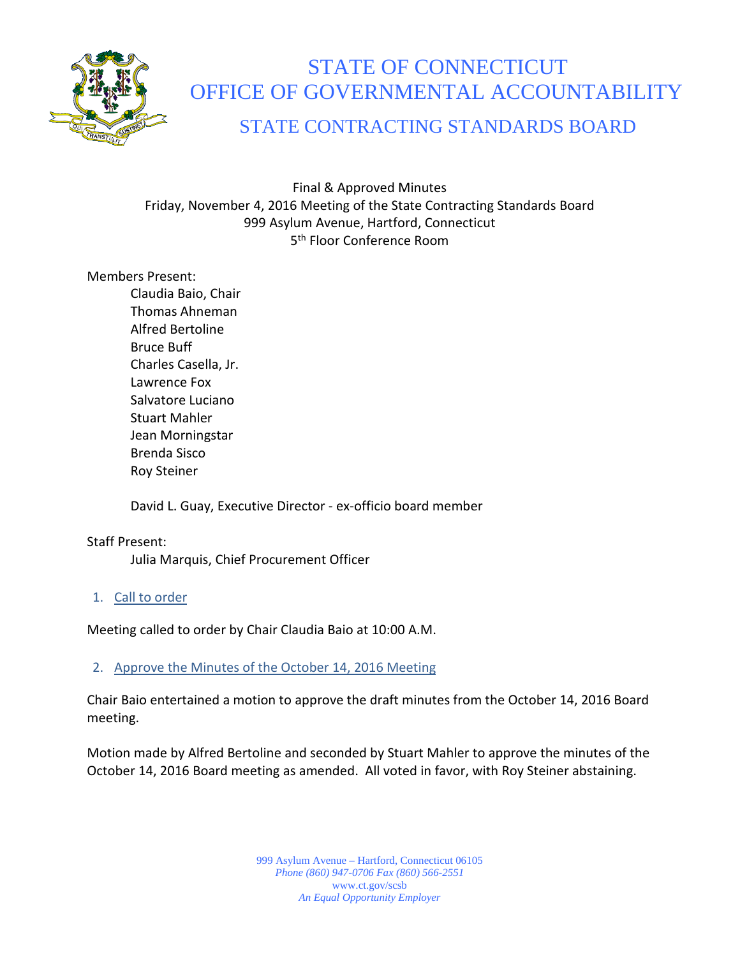

# STATE OF CONNECTICUT OFFICE OF GOVERNMENTAL ACCOUNTABILITY

# STATE CONTRACTING STANDARDS BOARD

Final & Approved Minutes Friday, November 4, 2016 Meeting of the State Contracting Standards Board 999 Asylum Avenue, Hartford, Connecticut 5<sup>th</sup> Floor Conference Room

# Members Present:

Claudia Baio, Chair Thomas Ahneman Alfred Bertoline Bruce Buff Charles Casella, Jr. Lawrence Fox Salvatore Luciano Stuart Mahler Jean Morningstar Brenda Sisco Roy Steiner

David L. Guay, Executive Director - ex-officio board member

# Staff Present:

Julia Marquis, Chief Procurement Officer

# 1. Call to order

Meeting called to order by Chair Claudia Baio at 10:00 A.M.

# 2. Approve the Minutes of the October 14, 2016 Meeting

Chair Baio entertained a motion to approve the draft minutes from the October 14, 2016 Board meeting.

Motion made by Alfred Bertoline and seconded by Stuart Mahler to approve the minutes of the October 14, 2016 Board meeting as amended. All voted in favor, with Roy Steiner abstaining.

> 999 Asylum Avenue – Hartford, Connecticut 06105 *Phone (860) 947-0706 Fax (860) 566-2551* www.ct.gov/scsb *An Equal Opportunity Employer*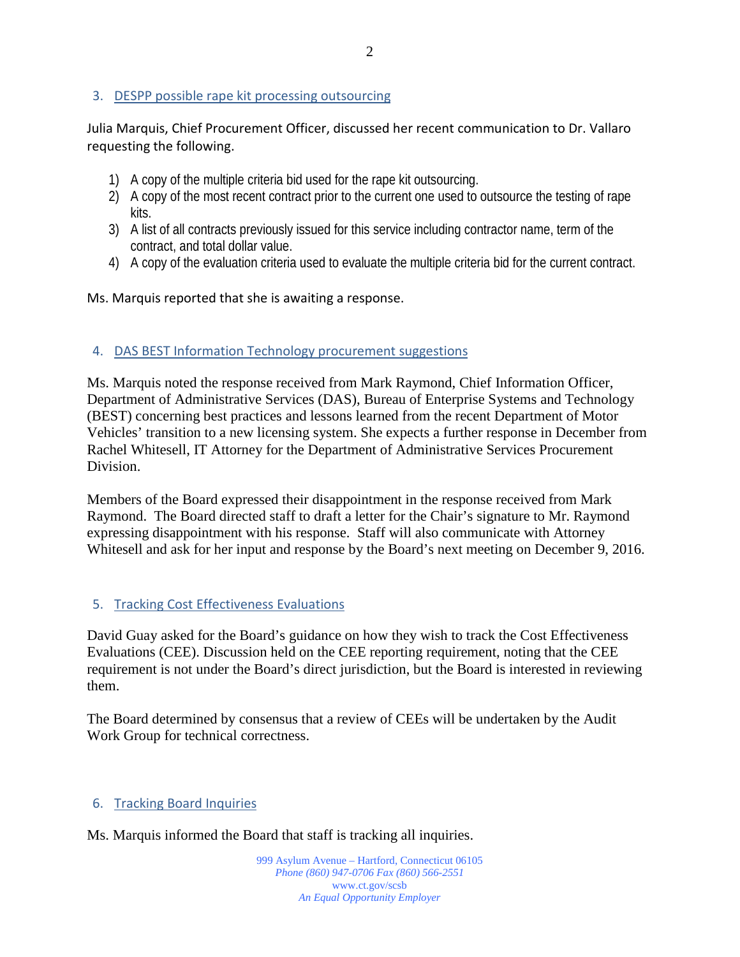### 3. DESPP possible rape kit processing outsourcing

Julia Marquis, Chief Procurement Officer, discussed her recent communication to Dr. Vallaro requesting the following.

- 1) A copy of the multiple criteria bid used for the rape kit outsourcing.
- 2) A copy of the most recent contract prior to the current one used to outsource the testing of rape kits.
- 3) A list of all contracts previously issued for this service including contractor name, term of the contract, and total dollar value.
- 4) A copy of the evaluation criteria used to evaluate the multiple criteria bid for the current contract.

#### Ms. Marquis reported that she is awaiting a response.

#### 4. DAS BEST Information Technology procurement suggestions

Ms. Marquis noted the response received from Mark Raymond, Chief Information Officer, Department of Administrative Services (DAS), Bureau of Enterprise Systems and Technology (BEST) concerning best practices and lessons learned from the recent Department of Motor Vehicles' transition to a new licensing system. She expects a further response in December from Rachel Whitesell, IT Attorney for the Department of Administrative Services Procurement Division.

Members of the Board expressed their disappointment in the response received from Mark Raymond. The Board directed staff to draft a letter for the Chair's signature to Mr. Raymond expressing disappointment with his response. Staff will also communicate with Attorney Whitesell and ask for her input and response by the Board's next meeting on December 9, 2016.

#### 5. Tracking Cost Effectiveness Evaluations

David Guay asked for the Board's guidance on how they wish to track the Cost Effectiveness Evaluations (CEE). Discussion held on the CEE reporting requirement, noting that the CEE requirement is not under the Board's direct jurisdiction, but the Board is interested in reviewing them.

The Board determined by consensus that a review of CEEs will be undertaken by the Audit Work Group for technical correctness.

#### 6. Tracking Board Inquiries

Ms. Marquis informed the Board that staff is tracking all inquiries.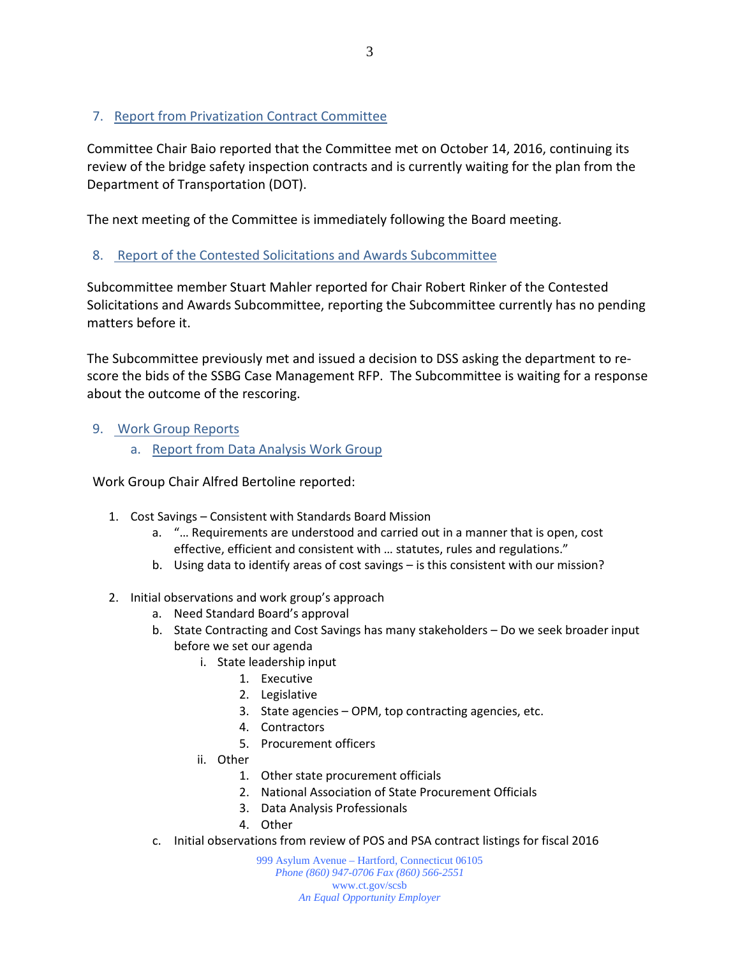# 7. Report from Privatization Contract Committee

Committee Chair Baio reported that the Committee met on October 14, 2016, continuing its review of the bridge safety inspection contracts and is currently waiting for the plan from the Department of Transportation (DOT).

The next meeting of the Committee is immediately following the Board meeting.

# 8. Report of the Contested Solicitations and Awards Subcommittee

Subcommittee member Stuart Mahler reported for Chair Robert Rinker of the Contested Solicitations and Awards Subcommittee, reporting the Subcommittee currently has no pending matters before it.

The Subcommittee previously met and issued a decision to DSS asking the department to rescore the bids of the SSBG Case Management RFP. The Subcommittee is waiting for a response about the outcome of the rescoring.

# 9. Work Group Reports

a. Report from Data Analysis Work Group

Work Group Chair Alfred Bertoline reported:

- 1. Cost Savings Consistent with Standards Board Mission
	- a. "… Requirements are understood and carried out in a manner that is open, cost effective, efficient and consistent with … statutes, rules and regulations."
	- b. Using data to identify areas of cost savings is this consistent with our mission?
- 2. Initial observations and work group's approach
	- a. Need Standard Board's approval
	- b. State Contracting and Cost Savings has many stakeholders Do we seek broader input before we set our agenda
		- i. State leadership input
			- 1. Executive
			- 2. Legislative
			- 3. State agencies OPM, top contracting agencies, etc.
			- 4. Contractors
			- 5. Procurement officers
		- ii. Other
			- 1. Other state procurement officials
			- 2. National Association of State Procurement Officials
			- 3. Data Analysis Professionals
			- 4. Other
	- c. Initial observations from review of POS and PSA contract listings for fiscal 2016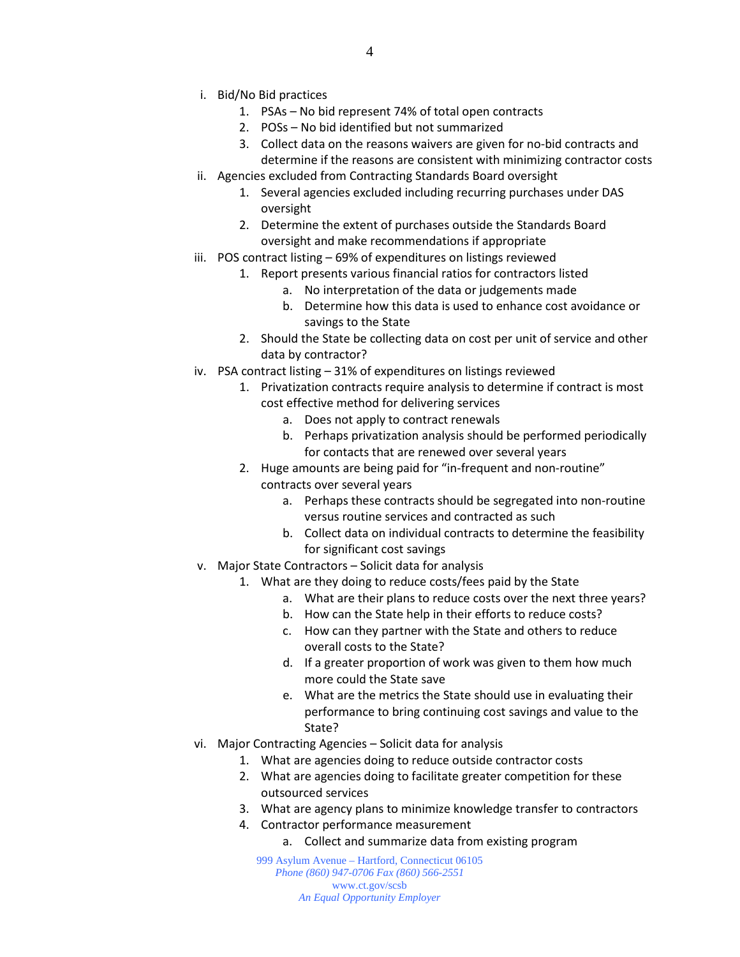- i. Bid/No Bid practices
	- 1. PSAs No bid represent 74% of total open contracts
	- 2. POSs No bid identified but not summarized
	- 3. Collect data on the reasons waivers are given for no-bid contracts and determine if the reasons are consistent with minimizing contractor costs
- ii. Agencies excluded from Contracting Standards Board oversight
	- 1. Several agencies excluded including recurring purchases under DAS oversight
	- 2. Determine the extent of purchases outside the Standards Board oversight and make recommendations if appropriate
- iii. POS contract listing 69% of expenditures on listings reviewed
	- 1. Report presents various financial ratios for contractors listed
		- a. No interpretation of the data or judgements made
		- b. Determine how this data is used to enhance cost avoidance or savings to the State
	- 2. Should the State be collecting data on cost per unit of service and other data by contractor?
- iv. PSA contract listing 31% of expenditures on listings reviewed
	- 1. Privatization contracts require analysis to determine if contract is most cost effective method for delivering services
		- a. Does not apply to contract renewals
		- b. Perhaps privatization analysis should be performed periodically for contacts that are renewed over several years
	- 2. Huge amounts are being paid for "in-frequent and non-routine" contracts over several years
		- a. Perhaps these contracts should be segregated into non-routine versus routine services and contracted as such
		- b. Collect data on individual contracts to determine the feasibility for significant cost savings
- v. Major State Contractors Solicit data for analysis
	- 1. What are they doing to reduce costs/fees paid by the State
		- a. What are their plans to reduce costs over the next three years?
		- b. How can the State help in their efforts to reduce costs?
		- c. How can they partner with the State and others to reduce overall costs to the State?
		- d. If a greater proportion of work was given to them how much more could the State save
		- e. What are the metrics the State should use in evaluating their performance to bring continuing cost savings and value to the State?
- vi. Major Contracting Agencies Solicit data for analysis
	- 1. What are agencies doing to reduce outside contractor costs
	- 2. What are agencies doing to facilitate greater competition for these outsourced services
	- 3. What are agency plans to minimize knowledge transfer to contractors
	- 4. Contractor performance measurement
		- a. Collect and summarize data from existing program

999 Asylum Avenue – Hartford, Connecticut 06105 *Phone (860) 947-0706 Fax (860) 566-2551* www.ct.gov/scsb *An Equal Opportunity Employer*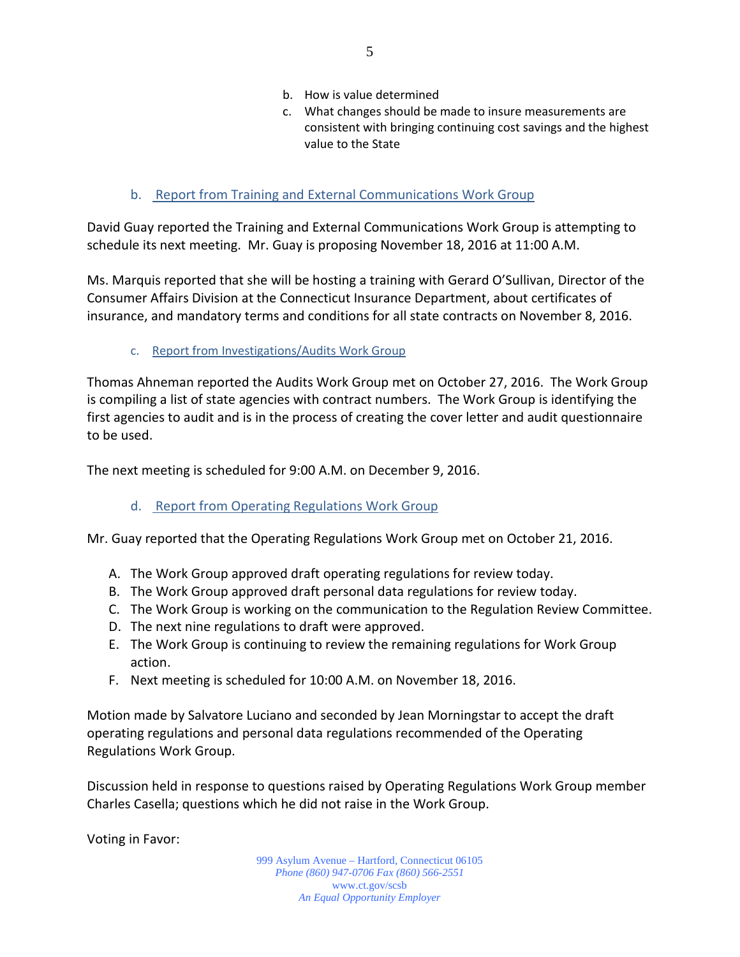- b. How is value determined
- c. What changes should be made to insure measurements are consistent with bringing continuing cost savings and the highest value to the State
- b. Report from Training and External Communications Work Group

David Guay reported the Training and External Communications Work Group is attempting to schedule its next meeting. Mr. Guay is proposing November 18, 2016 at 11:00 A.M.

Ms. Marquis reported that she will be hosting a training with Gerard O'Sullivan, Director of the Consumer Affairs Division at the Connecticut Insurance Department, about certificates of insurance, and mandatory terms and conditions for all state contracts on November 8, 2016.

c. Report from Investigations/Audits Work Group

Thomas Ahneman reported the Audits Work Group met on October 27, 2016. The Work Group is compiling a list of state agencies with contract numbers. The Work Group is identifying the first agencies to audit and is in the process of creating the cover letter and audit questionnaire to be used.

The next meeting is scheduled for 9:00 A.M. on December 9, 2016.

# d. Report from Operating Regulations Work Group

Mr. Guay reported that the Operating Regulations Work Group met on October 21, 2016.

- A. The Work Group approved draft operating regulations for review today.
- B. The Work Group approved draft personal data regulations for review today.
- C. The Work Group is working on the communication to the Regulation Review Committee.
- D. The next nine regulations to draft were approved.
- E. The Work Group is continuing to review the remaining regulations for Work Group action.
- F. Next meeting is scheduled for 10:00 A.M. on November 18, 2016.

Motion made by Salvatore Luciano and seconded by Jean Morningstar to accept the draft operating regulations and personal data regulations recommended of the Operating Regulations Work Group.

Discussion held in response to questions raised by Operating Regulations Work Group member Charles Casella; questions which he did not raise in the Work Group.

Voting in Favor:

999 Asylum Avenue – Hartford, Connecticut 06105 *Phone (860) 947-0706 Fax (860) 566-2551* www.ct.gov/scsb *An Equal Opportunity Employer*